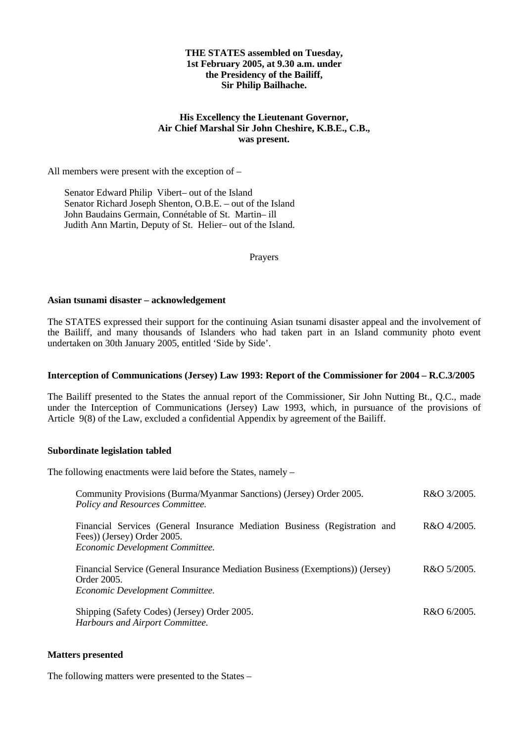# **THE STATES assembled on Tuesday, 1st February 2005, at 9.30 a.m. under the Presidency of the Bailiff, Sir Philip Bailhache.**

# **His Excellency the Lieutenant Governor, Air Chief Marshal Sir John Cheshire, K.B.E., C.B., was present.**

All members were present with the exception of –

Senator Edward Philip Vibert- out of the Island Senator Richard Joseph Shenton, O.B.E. – out of the Island John Baudains Germain, Connétable of St. Martin- ill Judith Ann Martin, Deputy of St. Helier- out of the Island.

Prayers

# **Asian tsunami disaster – acknowledgement**

The STATES expressed their support for the continuing Asian tsunami disaster appeal and the involvement of the Bailiff, and many thousands of Islanders who had taken part in an Island community photo event undertaken on 30th January 2005, entitled 'Side by Side'.

# **Interception of Communications (Jersey) Law 1993: Report of the Commissioner for 2004 – R.C.3/2005**

The Bailiff presented to the States the annual report of the Commissioner, Sir John Nutting Bt., Q.C., made under the Interception of Communications (Jersey) Law 1993, which, in pursuance of the provisions of Article 9(8) of the Law, excluded a confidential Appendix by agreement of the Bailiff.

# **Subordinate legislation tabled**

The following enactments were laid before the States, namely –

| Community Provisions (Burma/Myanmar Sanctions) (Jersey) Order 2005.<br>Policy and Resources Committee.                                       | R&O 3/2005. |
|----------------------------------------------------------------------------------------------------------------------------------------------|-------------|
| Financial Services (General Insurance Mediation Business (Registration and<br>Fees)) (Jersey) Order 2005.<br>Economic Development Committee. | R&O 4/2005. |
| Financial Service (General Insurance Mediation Business (Exemptions)) (Jersey)<br>Order 2005.<br>Economic Development Committee.             | R&O 5/2005. |
| Shipping (Safety Codes) (Jersey) Order 2005.<br>Harbours and Airport Committee.                                                              | R&O 6/2005. |

#### **Matters presented**

The following matters were presented to the States –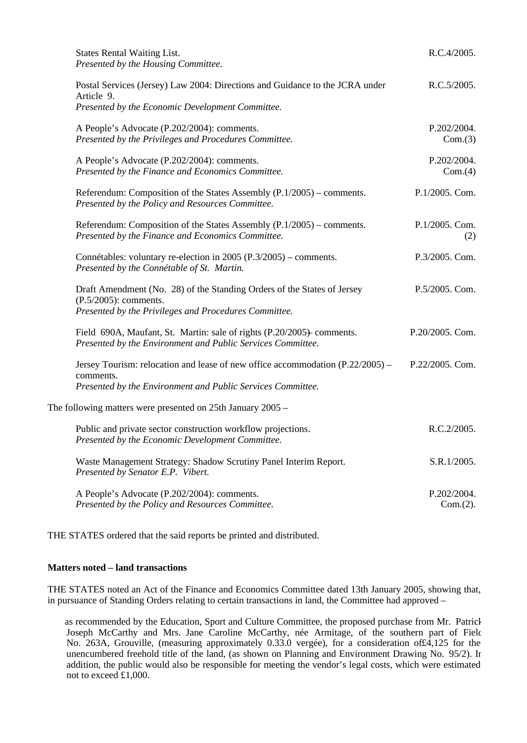| <b>States Rental Waiting List.</b>                                                                                                                           | R.C.4/2005.             |
|--------------------------------------------------------------------------------------------------------------------------------------------------------------|-------------------------|
| Presented by the Housing Committee.                                                                                                                          |                         |
| Postal Services (Jersey) Law 2004: Directions and Guidance to the JCRA under<br>Article 9.                                                                   | R.C.5/2005.             |
| Presented by the Economic Development Committee.                                                                                                             |                         |
| A People's Advocate (P.202/2004): comments.<br>Presented by the Privileges and Procedures Committee.                                                         | P.202/2004.<br>Com.(3)  |
| A People's Advocate (P.202/2004): comments.<br>Presented by the Finance and Economics Committee.                                                             | P.202/2004.<br>Com.(4)  |
| Referendum: Composition of the States Assembly (P.1/2005) – comments.<br>Presented by the Policy and Resources Committee.                                    | P.1/2005. Com.          |
| Referendum: Composition of the States Assembly (P.1/2005) – comments.<br>Presented by the Finance and Economics Committee.                                   | P.1/2005. Com.<br>(2)   |
| Connétables: voluntary re-election in 2005 (P.3/2005) – comments.<br>Presented by the Connétable of St. Martin.                                              | P.3/2005. Com.          |
| Draft Amendment (No. 28) of the Standing Orders of the States of Jersey<br>$(P.5/2005)$ : comments.<br>Presented by the Privileges and Procedures Committee. | P.5/2005. Com.          |
| Field 690A, Maufant, St. Martin: sale of rights (P.20/2005) comments.<br>Presented by the Environment and Public Services Committee.                         | P.20/2005. Com.         |
| Jersey Tourism: relocation and lease of new office accommodation (P.22/2005) –<br>comments.                                                                  | P.22/2005. Com.         |
| Presented by the Environment and Public Services Committee.                                                                                                  |                         |
| The following matters were presented on $25$ th January $2005 -$                                                                                             |                         |
| Public and private sector construction workflow projections.<br>Presented by the Economic Development Committee.                                             | R.C.2/2005.             |
| Waste Management Strategy: Shadow Scrutiny Panel Interim Report.<br>Presented by Senator E.P. Vibert.                                                        | S.R.1/2005.             |
| A People's Advocate (P.202/2004): comments.<br>Presented by the Policy and Resources Committee.                                                              | P.202/2004.<br>Com.(2). |

THE STATES ordered that the said reports be printed and distributed.

#### **Matters noted – land transactions**

THE STATES noted an Act of the Finance and Economics Committee dated 13th January 2005, showing that, in pursuance of Standing Orders relating to certain transactions in land, the Committee had approved –

 as recommended by the Education, Sport and Culture Committee, the proposed purchase from Mr. Patrick Joseph McCarthy and Mrs. Jane Caroline McCarthy, née Armitage, of the southern part of Field No. 263A, Grouville, (measuring approximately 0.33.0 vergée), for a consideration of£4,125 for the unencumbered freehold title of the land, (as shown on Planning and Environment Drawing No. 95/2). In addition, the public would also be responsible for meeting the vendor's legal costs, which were estimated not to exceed £1,000.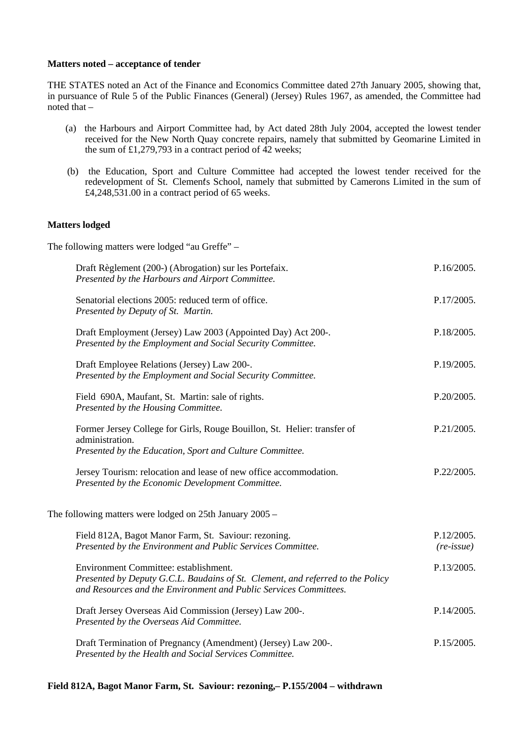# **Matters noted – acceptance of tender**

THE STATES noted an Act of the Finance and Economics Committee dated 27th January 2005, showing that, in pursuance of Rule 5 of the Public Finances (General) (Jersey) Rules 1967, as amended, the Committee had noted that  $-$ 

- (a) the Harbours and Airport Committee had, by Act dated 28th July 2004, accepted the lowest tender received for the New North Quay concrete repairs, namely that submitted by Geomarine Limited in the sum of £1,279,793 in a contract period of  $\overline{42}$  weeks;
- (b) the Education, Sport and Culture Committee had accepted the lowest tender received for the redevelopment of St. Clements School, namely that submitted by Camerons Limited in the sum of  $£4,248,531,00$  in a contract period of 65 weeks.

# **Matters lodged**

The following matters were lodged "au Greffe" –

| Draft Règlement (200-) (Abrogation) sur les Portefaix.<br>Presented by the Harbours and Airport Committee.                                                                                   | P.16/2005.                        |
|----------------------------------------------------------------------------------------------------------------------------------------------------------------------------------------------|-----------------------------------|
| Senatorial elections 2005: reduced term of office.<br>Presented by Deputy of St. Martin.                                                                                                     | P.17/2005.                        |
| Draft Employment (Jersey) Law 2003 (Appointed Day) Act 200-.<br>Presented by the Employment and Social Security Committee.                                                                   | P.18/2005.                        |
| Draft Employee Relations (Jersey) Law 200-.<br>Presented by the Employment and Social Security Committee.                                                                                    | P.19/2005.                        |
| Field 690A, Maufant, St. Martin: sale of rights.<br>Presented by the Housing Committee.                                                                                                      | P.20/2005.                        |
| Former Jersey College for Girls, Rouge Bouillon, St. Helier: transfer of<br>administration.<br>Presented by the Education, Sport and Culture Committee.                                      | P.21/2005.                        |
| Jersey Tourism: relocation and lease of new office accommodation.<br>Presented by the Economic Development Committee.                                                                        | P.22/2005.                        |
| The following matters were lodged on $25$ th January $2005 -$                                                                                                                                |                                   |
| Field 812A, Bagot Manor Farm, St. Saviour: rezoning.<br>Presented by the Environment and Public Services Committee.                                                                          | P.12/2005.<br>$(re\text{-}issue)$ |
| Environment Committee: establishment.<br>Presented by Deputy G.C.L. Baudains of St. Clement, and referred to the Policy<br>and Resources and the Environment and Public Services Committees. | P.13/2005.                        |
| Draft Jersey Overseas Aid Commission (Jersey) Law 200-.<br>Presented by the Overseas Aid Committee.                                                                                          | P.14/2005.                        |
| Draft Termination of Pregnancy (Amendment) (Jersey) Law 200-.<br>Presented by the Health and Social Services Committee.                                                                      | P.15/2005.                        |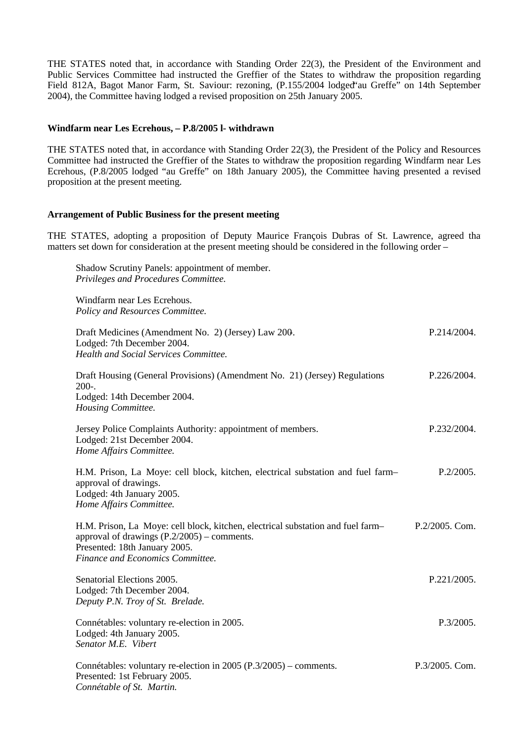THE STATES noted that, in accordance with Standing Order 22(3), the President of the Environment and Public Services Committee had instructed the Greffier of the States to withdraw the proposition regarding Field 812A, Bagot Manor Farm, St. Saviour: rezoning, (P.155/2004 lodged au Greffe" on 14th September 2004), the Committee having lodged a revised proposition on 25th January 2005.

# **Windfarm near Les Ecrehous, – P.8/2005 l- withdrawn**

THE STATES noted that, in accordance with Standing Order 22(3), the President of the Policy and Resources Committee had instructed the Greffier of the States to withdraw the proposition regarding Windfarm near Les Ecrehous, (P.8/2005 lodged "au Greffe" on 18th January 2005), the Committee having presented a revised proposition at the present meeting.

# **Arrangement of Public Business for the present meeting**

THE STATES, adopting a proposition of Deputy Maurice François Dubras of St. Lawrence, agreed tha matters set down for consideration at the present meeting should be considered in the following order –

| Shadow Scrutiny Panels: appointment of member.<br>Privileges and Procedures Committee.                                                                                                                |                   |
|-------------------------------------------------------------------------------------------------------------------------------------------------------------------------------------------------------|-------------------|
| Windfarm near Les Ecrehous.<br>Policy and Resources Committee.                                                                                                                                        |                   |
| Draft Medicines (Amendment No. 2) (Jersey) Law 200.<br>Lodged: 7th December 2004.<br><b>Health and Social Services Committee.</b>                                                                     | P.214/2004.       |
| Draft Housing (General Provisions) (Amendment No. 21) (Jersey) Regulations<br>$200-.$<br>Lodged: 14th December 2004.<br>Housing Committee.                                                            | P.226/2004.       |
| Jersey Police Complaints Authority: appointment of members.<br>Lodged: 21st December 2004.<br>Home Affairs Committee.                                                                                 | P.232/2004.       |
| H.M. Prison, La Moye: cell block, kitchen, electrical substation and fuel farm-<br>approval of drawings.<br>Lodged: 4th January 2005.<br>Home Affairs Committee.                                      | P.2/2005.         |
| H.M. Prison, La Moye: cell block, kitchen, electrical substation and fuel farm-<br>approval of drawings $(P.2/2005)$ – comments.<br>Presented: 18th January 2005.<br>Finance and Economics Committee. | $P.2/2005$ . Com. |
| Senatorial Elections 2005.<br>Lodged: 7th December 2004.<br>Deputy P.N. Troy of St. Brelade.                                                                                                          | P.221/2005.       |
| Connétables: voluntary re-election in 2005.<br>Lodged: 4th January 2005.<br>Senator M.E. Vibert                                                                                                       | P.3/2005.         |
| Connétables: voluntary re-election in 2005 (P.3/2005) – comments.<br>Presented: 1st February 2005.<br>Connétable of St. Martin.                                                                       | P.3/2005. Com.    |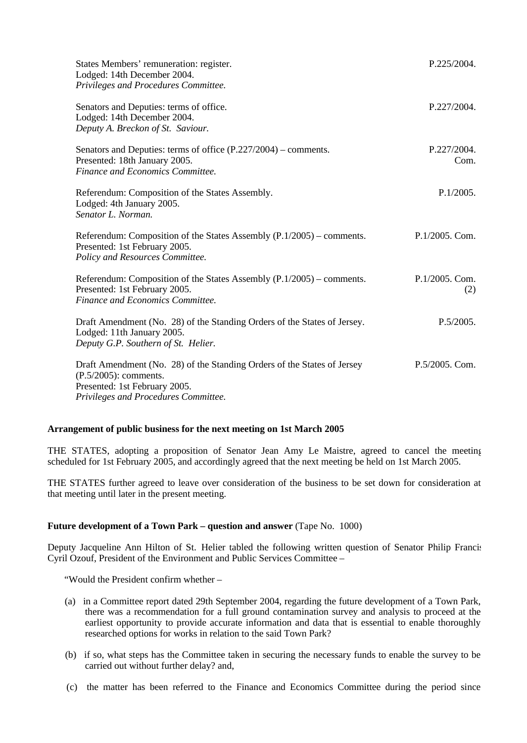| States Members' remuneration: register.<br>Lodged: 14th December 2004.<br>Privileges and Procedures Committee.                                                               | P.225/2004.           |
|------------------------------------------------------------------------------------------------------------------------------------------------------------------------------|-----------------------|
| Senators and Deputies: terms of office.<br>Lodged: 14th December 2004.<br>Deputy A. Breckon of St. Saviour.                                                                  | P.227/2004.           |
| Senators and Deputies: terms of office $(P.227/2004)$ – comments.<br>Presented: 18th January 2005.<br>Finance and Economics Committee.                                       | P.227/2004.<br>Com.   |
| Referendum: Composition of the States Assembly.<br>Lodged: 4th January 2005.<br>Senator L. Norman.                                                                           | P.1/2005.             |
| Referendum: Composition of the States Assembly $(P.1/2005)$ – comments.<br>Presented: 1st February 2005.<br>Policy and Resources Committee.                                  | $P.1/2005.$ Com.      |
| Referendum: Composition of the States Assembly (P.1/2005) – comments.<br>Presented: 1st February 2005.<br>Finance and Economics Committee.                                   | P.1/2005. Com.<br>(2) |
| Draft Amendment (No. 28) of the Standing Orders of the States of Jersey.<br>Lodged: 11th January 2005.<br>Deputy G.P. Southern of St. Helier.                                | P.5/2005.             |
| Draft Amendment (No. 28) of the Standing Orders of the States of Jersey<br>$(P.5/2005)$ : comments.<br>Presented: 1st February 2005.<br>Privileges and Procedures Committee. | P.5/2005. Com.        |

# **Arrangement of public business for the next meeting on 1st March 2005**

THE STATES, adopting a proposition of Senator Jean Amy Le Maistre, agreed to cancel the meeting scheduled for 1st February 2005, and accordingly agreed that the next meeting be held on 1st March 2005.

THE STATES further agreed to leave over consideration of the business to be set down for consideration at that meeting until later in the present meeting.

# **Future development of a Town Park – question and answer** (Tape No. 1000)

Deputy Jacqueline Ann Hilton of St. Helier tabled the following written question of Senator Philip Francis Cyril Ozouf, President of the Environment and Public Services Committee –

"Would the President confirm whether –

- (a) in a Committee report dated 29th September 2004, regarding the future development of a Town Park, there was a recommendation for a full ground contamination survey and analysis to proceed at the earliest opportunity to provide accurate information and data that is essential to enable thoroughly researched options for works in relation to the said Town Park?
- (b) if so, what steps has the Committee taken in securing the necessary funds to enable the survey to be carried out without further delay? and,
- (c) the matter has been referred to the Finance and Economics Committee during the period since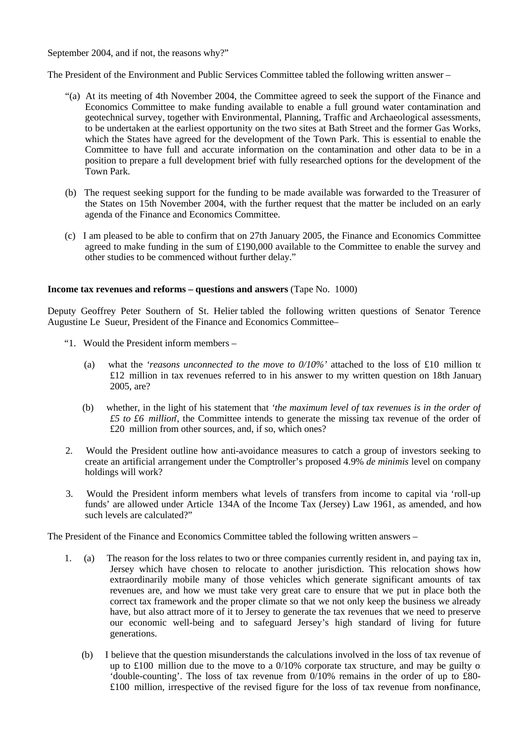September 2004, and if not, the reasons why?"

The President of the Environment and Public Services Committee tabled the following written answer –

- "(a) At its meeting of 4th November 2004, the Committee agreed to seek the support of the Finance and Economics Committee to make funding available to enable a full ground water contamination and geotechnical survey, together with Environmental, Planning, Traffic and Archaeological assessments, to be undertaken at the earliest opportunity on the two sites at Bath Street and the former Gas Works, which the States have agreed for the development of the Town Park. This is essential to enable the Committee to have full and accurate information on the contamination and other data to be in a position to prepare a full development brief with fully researched options for the development of the Town Park.
- (b) The request seeking support for the funding to be made available was forwarded to the Treasurer of the States on 15th November 2004, with the further request that the matter be included on an early agenda of the Finance and Economics Committee.
- (c) I am pleased to be able to confirm that on 27th January 2005, the Finance and Economics Committee agreed to make funding in the sum of £190,000 available to the Committee to enable the survey and other studies to be commenced without further delay."

# **Income tax revenues and reforms – questions and answers** (Tape No. 1000)

Deputy Geoffrey Peter Southern of St. Helier tabled the following written questions of Senator Terence Augustine Le Sueur, President of the Finance and Economics Committee –

- "1. Would the President inform members
	- (a) what the *'reasons unconnected to the move to 0/10%'* attached to the loss of £10 million to £12 million in tax revenues referred to in his answer to my written question on 18th January 2005, are?
	- (b) whether, in the light of his statement that *'the maximum level of tax revenues is in the order of £5 to £6 million'*, the Committee intends to generate the missing tax revenue of the order of £20 million from other sources, and, if so, which ones?
- 2. Would the President outline how anti-avoidance measures to catch a group of investors seeking to create an artificial arrangement under the Comptroller's proposed 4.9% *de minimis* level on company holdings will work?
- 3. Would the President inform members what levels of transfers from income to capital via 'roll-up funds' are allowed under Article 134A of the Income Tax (Jersey) Law 1961, as amended, and how such levels are calculated?"

The President of the Finance and Economics Committee tabled the following written answers –

- 1. (a) The reason for the loss relates to two or three companies currently resident in, and paying tax in, Jersey which have chosen to relocate to another jurisdiction. This relocation shows how extraordinarily mobile many of those vehicles which generate significant amounts of tax revenues are, and how we must take very great care to ensure that we put in place both the correct tax framework and the proper climate so that we not only keep the business we already have, but also attract more of it to Jersey to generate the tax revenues that we need to preserve our economic well-being and to safeguard Jersey's high standard of living for future generations.
	- (b) I believe that the question misunderstands the calculations involved in the loss of tax revenue of up to £100 million due to the move to a  $0/10\%$  corporate tax structure, and may be guilty of 'double-counting'. The loss of tax revenue from 0/10% remains in the order of up to £80-  $£100$  million, irrespective of the revised figure for the loss of tax revenue from nonfinance,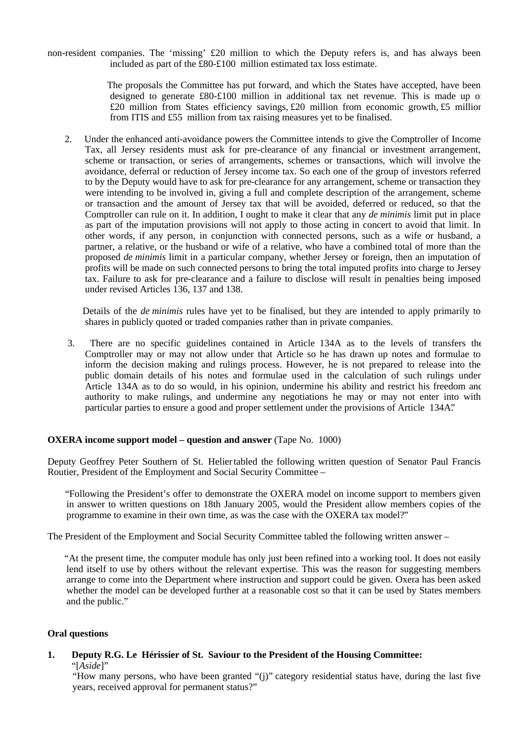non-resident companies. The 'missing' £20 million to which the Deputy refers is, and has always been included as part of the £80-£100 million estimated tax loss estimate.

> The proposals the Committee has put forward, and which the States have accepted, have been designed to generate  $\text{\pounds}80-\text{\pounds}100$  million in additional tax net revenue. This is made up of £20 million from States efficiency savings, £20 million from economic growth, £5 million from ITIS and £55 million from tax raising measures yet to be finalised.

 2. Under the enhanced anti-avoidance powers the Committee intends to give the Comptroller of Income Tax, all Jersey residents must ask for pre-clearance of any financial or investment arrangement, scheme or transaction, or series of arrangements, schemes or transactions, which will involve the avoidance, deferral or reduction of Jersey income tax. So each one of the group of investors referred to by the Deputy would have to ask for pre-clearance for any arrangement, scheme or transaction they were intending to be involved in, giving a full and complete description of the arrangement, scheme or transaction and the amount of Jersey tax that will be avoided, deferred or reduced, so that the Comptroller can rule on it. In addition, I ought to make it clear that any *de minimis* limit put in place as part of the imputation provisions will not apply to those acting in concert to avoid that limit. In other words, if any person, in conjunction with connected persons, such as a wife or husband, a partner, a relative, or the husband or wife of a relative, who have a combined total of more than the proposed *de minimis* limit in a particular company, whether Jersey or foreign, then an imputation of profits will be made on such connected persons to bring the total imputed profits into charge to Jersey tax. Failure to ask for pre-clearance and a failure to disclose will result in penalties being imposed under revised Articles 136, 137 and 138.

 Details of the *de minimis* rules have yet to be finalised, but they are intended to apply primarily to shares in publicly quoted or traded companies rather than in private companies.

 3. There are no specific guidelines contained in Article 134A as to the levels of transfers the Comptroller may or may not allow under that Article so he has drawn up notes and formulae to inform the decision making and rulings process. However, he is not prepared to release into the public domain details of his notes and formulae used in the calculation of such rulings under Article 134A as to do so would, in his opinion, undermine his ability and restrict his freedom and authority to make rulings, and undermine any negotiations he may or may not enter into with particular parties to ensure a good and proper settlement under the provisions of Article 134A."

# **OXERA income support model – question and answer** (Tape No. 1000)

Deputy Geoffrey Peter Southern of St. Heliertabled the following written question of Senator Paul Francis Routier, President of the Employment and Social Security Committee –

 "Following the President's offer to demonstrate the OXERA model on income support to members given in answer to written questions on 18th January 2005, would the President allow members copies of the programme to examine in their own time, as was the case with the OXERA tax model?"

The President of the Employment and Social Security Committee tabled the following written answer –

 "At the present time, the computer module has only just been refined into a working tool. It does not easily lend itself to use by others without the relevant expertise. This was the reason for suggesting members arrange to come into the Department where instruction and support could be given. Oxera has been asked whether the model can be developed further at a reasonable cost so that it can be used by States members and the public."

# **Oral questions**

# **1. Deputy R.G. Le Hérissier of St. Saviour to the President of the Housing Committee:** "[*Aside*]"

 "How many persons, who have been granted "(j)" category residential status have, during the last five years, received approval for permanent status?"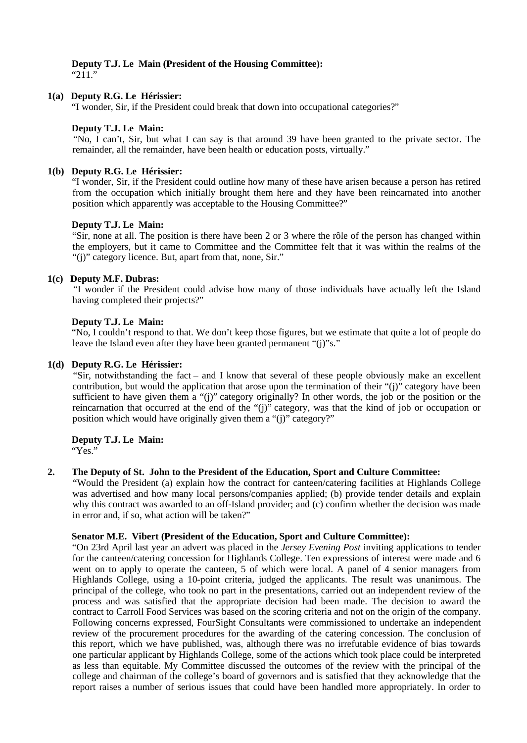#### **Deputy T.J. Le Main (President of the Housing Committee):** "211."

# **1(a) Deputy R.G. Le Hérissier:**

"I wonder, Sir, if the President could break that down into occupational categories?"

# **Deputy T.J. Le Main:**

 "No, I can't, Sir, but what I can say is that around 39 have been granted to the private sector. The remainder, all the remainder, have been health or education posts, virtually."

# **1(b) Deputy R.G. Le Hérissier:**

 "I wonder, Sir, if the President could outline how many of these have arisen because a person has retired from the occupation which initially brought them here and they have been reincarnated into another position which apparently was acceptable to the Housing Committee?"

# **Deputy T.J. Le Main:**

 "Sir, none at all. The position is there have been 2 or 3 where the rôle of the person has changed within the employers, but it came to Committee and the Committee felt that it was within the realms of the "(j)" category licence. But, apart from that, none, Sir."

# **1(c) Deputy M.F. Dubras:**

 "I wonder if the President could advise how many of those individuals have actually left the Island having completed their projects?"

# **Deputy T.J. Le Main:**

 "No, I couldn't respond to that. We don't keep those figures, but we estimate that quite a lot of people do leave the Island even after they have been granted permanent "(j)"s."

# **1(d) Deputy R.G. Le Hérissier:**

 "Sir, notwithstanding the fact – and I know that several of these people obviously make an excellent contribution, but would the application that arose upon the termination of their "(j)" category have been sufficient to have given them a "(j)" category originally? In other words, the job or the position or the reincarnation that occurred at the end of the "(j)" category, was that the kind of job or occupation or position which would have originally given them a "(j)" category?"

# **Deputy T.J. Le Main:**

"Yes."

# **2. The Deputy of St. John to the President of the Education, Sport and Culture Committee:**

 "Would the President (a) explain how the contract for canteen/catering facilities at Highlands College was advertised and how many local persons/companies applied; (b) provide tender details and explain why this contract was awarded to an off-Island provider; and (c) confirm whether the decision was made in error and, if so, what action will be taken?"

#### **Senator M.E. Vibert (President of the Education, Sport and Culture Committee):**

 "On 23rd April last year an advert was placed in the *Jersey Evening Post* inviting applications to tender for the canteen/catering concession for Highlands College. Ten expressions of interest were made and 6 went on to apply to operate the canteen, 5 of which were local. A panel of 4 senior managers from Highlands College, using a 10-point criteria, judged the applicants. The result was unanimous. The principal of the college, who took no part in the presentations, carried out an independent review of the process and was satisfied that the appropriate decision had been made. The decision to award the contract to Carroll Food Services was based on the scoring criteria and not on the origin of the company. Following concerns expressed, FourSight Consultants were commissioned to undertake an independent review of the procurement procedures for the awarding of the catering concession. The conclusion of this report, which we have published, was, although there was no irrefutable evidence of bias towards one particular applicant by Highlands College, some of the actions which took place could be interpreted as less than equitable. My Committee discussed the outcomes of the review with the principal of the college and chairman of the college's board of governors and is satisfied that they acknowledge that the report raises a number of serious issues that could have been handled more appropriately. In order to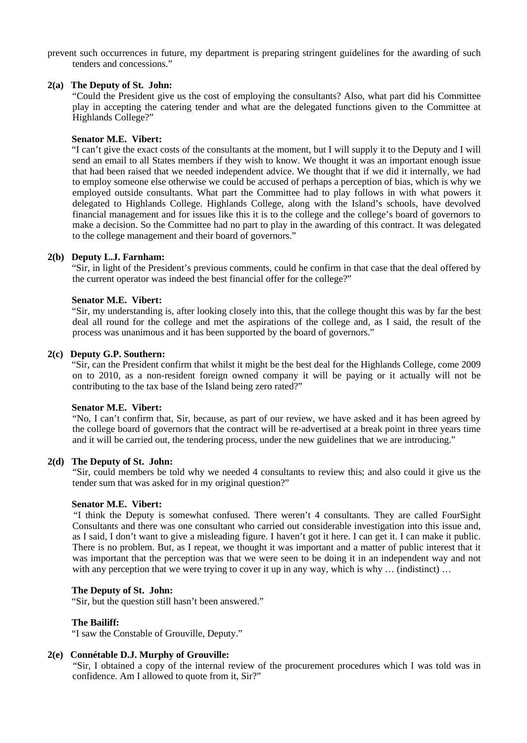prevent such occurrences in future, my department is preparing stringent guidelines for the awarding of such tenders and concessions."

# **2(a) The Deputy of St. John:**

 "Could the President give us the cost of employing the consultants? Also, what part did his Committee play in accepting the catering tender and what are the delegated functions given to the Committee at Highlands College?"

# **Senator M.E. Vibert:**

 "I can't give the exact costs of the consultants at the moment, but I will supply it to the Deputy and I will send an email to all States members if they wish to know. We thought it was an important enough issue that had been raised that we needed independent advice. We thought that if we did it internally, we had to employ someone else otherwise we could be accused of perhaps a perception of bias, which is why we employed outside consultants. What part the Committee had to play follows in with what powers it delegated to Highlands College. Highlands College, along with the Island's schools, have devolved financial management and for issues like this it is to the college and the college's board of governors to make a decision. So the Committee had no part to play in the awarding of this contract. It was delegated to the college management and their board of governors."

# **2(b) Deputy L.J. Farnham:**

 "Sir, in light of the President's previous comments, could he confirm in that case that the deal offered by the current operator was indeed the best financial offer for the college?"

# **Senator M.E. Vibert:**

 "Sir, my understanding is, after looking closely into this, that the college thought this was by far the best deal all round for the college and met the aspirations of the college and, as I said, the result of the process was unanimous and it has been supported by the board of governors."

# **2(c) Deputy G.P. Southern:**

 "Sir, can the President confirm that whilst it might be the best deal for the Highlands College, come 2009 on to 2010, as a non-resident foreign owned company it will be paying or it actually will not be contributing to the tax base of the Island being zero rated?"

#### **Senator M.E. Vibert:**

 "No, I can't confirm that, Sir, because, as part of our review, we have asked and it has been agreed by the college board of governors that the contract will be re-advertised at a break point in three years time and it will be carried out, the tendering process, under the new guidelines that we are introducing."

#### **2(d) The Deputy of St. John:**

 "Sir, could members be told why we needed 4 consultants to review this; and also could it give us the tender sum that was asked for in my original question?"

# **Senator M.E. Vibert:**

 "I think the Deputy is somewhat confused. There weren't 4 consultants. They are called FourSight Consultants and there was one consultant who carried out considerable investigation into this issue and, as I said, I don't want to give a misleading figure. I haven't got it here. I can get it. I can make it public. There is no problem. But, as I repeat, we thought it was important and a matter of public interest that it was important that the perception was that we were seen to be doing it in an independent way and not with any perception that we were trying to cover it up in any way, which is why ... (indistinct) ...

# **The Deputy of St. John:**

"Sir, but the question still hasn't been answered."

# **The Bailiff:**

"I saw the Constable of Grouville, Deputy."

#### **2(e) Connétable D.J. Murphy of Grouville:**

 "Sir, I obtained a copy of the internal review of the procurement procedures which I was told was in confidence. Am I allowed to quote from it, Sir?"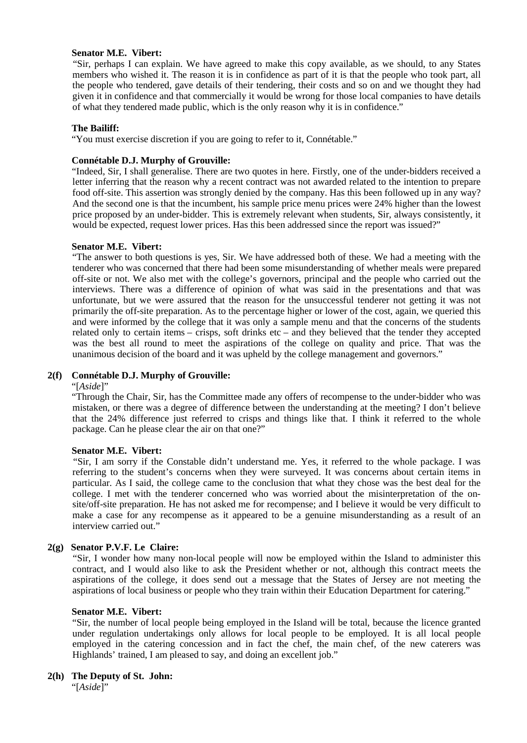# **Senator M.E. Vibert:**

 "Sir, perhaps I can explain. We have agreed to make this copy available, as we should, to any States members who wished it. The reason it is in confidence as part of it is that the people who took part, all the people who tendered, gave details of their tendering, their costs and so on and we thought they had given it in confidence and that commercially it would be wrong for those local companies to have details of what they tendered made public, which is the only reason why it is in confidence."

# **The Bailiff:**

"You must exercise discretion if you are going to refer to it, Connétable."

#### **Connétable D.J. Murphy of Grouville:**

 "Indeed, Sir, I shall generalise. There are two quotes in here. Firstly, one of the under-bidders received a letter inferring that the reason why a recent contract was not awarded related to the intention to prepare food off-site. This assertion was strongly denied by the company. Has this been followed up in any way? And the second one is that the incumbent, his sample price menu prices were 24% higher than the lowest price proposed by an under-bidder. This is extremely relevant when students, Sir, always consistently, it would be expected, request lower prices. Has this been addressed since the report was issued?"

#### **Senator M.E. Vibert:**

 "The answer to both questions is yes, Sir. We have addressed both of these. We had a meeting with the tenderer who was concerned that there had been some misunderstanding of whether meals were prepared off-site or not. We also met with the college's governors, principal and the people who carried out the interviews. There was a difference of opinion of what was said in the presentations and that was unfortunate, but we were assured that the reason for the unsuccessful tenderer not getting it was not primarily the off-site preparation. As to the percentage higher or lower of the cost, again, we queried this and were informed by the college that it was only a sample menu and that the concerns of the students related only to certain items – crisps, soft drinks etc – and they believed that the tender they accepted was the best all round to meet the aspirations of the college on quality and price. That was the unanimous decision of the board and it was upheld by the college management and governors."

# **2(f) Connétable D.J. Murphy of Grouville:**

#### "[*Aside*]"

 "Through the Chair, Sir, has the Committee made any offers of recompense to the under-bidder who was mistaken, or there was a degree of difference between the understanding at the meeting? I don't believe that the 24% difference just referred to crisps and things like that. I think it referred to the whole package. Can he please clear the air on that one?"

#### **Senator M.E. Vibert:**

 "Sir, I am sorry if the Constable didn't understand me. Yes, it referred to the whole package. I was referring to the student's concerns when they were surveyed. It was concerns about certain items in particular. As I said, the college came to the conclusion that what they chose was the best deal for the college. I met with the tenderer concerned who was worried about the misinterpretation of the onsite/off-site preparation. He has not asked me for recompense; and I believe it would be very difficult to make a case for any recompense as it appeared to be a genuine misunderstanding as a result of an interview carried out."

# **2(g) Senator P.V.F. Le Claire:**

 "Sir, I wonder how many non-local people will now be employed within the Island to administer this contract, and I would also like to ask the President whether or not, although this contract meets the aspirations of the college, it does send out a message that the States of Jersey are not meeting the aspirations of local business or people who they train within their Education Department for catering."

#### **Senator M.E. Vibert:**

 "Sir, the number of local people being employed in the Island will be total, because the licence granted under regulation undertakings only allows for local people to be employed. It is all local people employed in the catering concession and in fact the chef, the main chef, of the new caterers was Highlands' trained, I am pleased to say, and doing an excellent job."

#### **2(h) The Deputy of St. John:**

"[*Aside*]"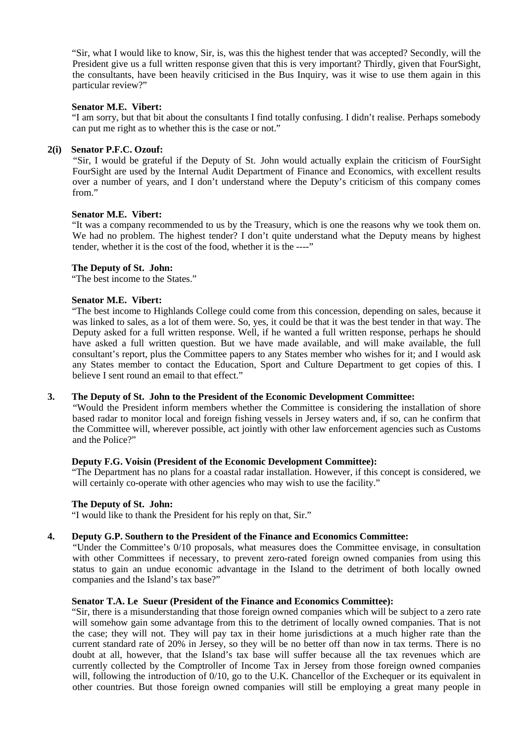"Sir, what I would like to know, Sir, is, was this the highest tender that was accepted? Secondly, will the President give us a full written response given that this is very important? Thirdly, given that FourSight, the consultants, have been heavily criticised in the Bus Inquiry, was it wise to use them again in this particular review?"

# **Senator M.E. Vibert:**

 "I am sorry, but that bit about the consultants I find totally confusing. I didn't realise. Perhaps somebody can put me right as to whether this is the case or not."

# **2(i) Senator P.F.C. Ozouf:**

 "Sir, I would be grateful if the Deputy of St. John would actually explain the criticism of FourSight. FourSight are used by the Internal Audit Department of Finance and Economics, with excellent results over a number of years, and I don't understand where the Deputy's criticism of this company comes from"

# **Senator M.E. Vibert:**

 "It was a company recommended to us by the Treasury, which is one the reasons why we took them on. We had no problem. The highest tender? I don't quite understand what the Deputy means by highest tender, whether it is the cost of the food, whether it is the ----"

# **The Deputy of St. John:**

"The best income to the States."

# **Senator M.E. Vibert:**

 "The best income to Highlands College could come from this concession, depending on sales, because it was linked to sales, as a lot of them were. So, yes, it could be that it was the best tender in that way. The Deputy asked for a full written response. Well, if he wanted a full written response, perhaps he should have asked a full written question. But we have made available, and will make available, the full consultant's report, plus the Committee papers to any States member who wishes for it; and I would ask any States member to contact the Education, Sport and Culture Department to get copies of this. I believe I sent round an email to that effect."

# **3. The Deputy of St. John to the President of the Economic Development Committee:**

 "Would the President inform members whether the Committee is considering the installation of shore based radar to monitor local and foreign fishing vessels in Jersey waters and, if so, can he confirm that the Committee will, wherever possible, act jointly with other law enforcement agencies such as Customs and the Police?"

# **Deputy F.G. Voisin (President of the Economic Development Committee):**

 "The Department has no plans for a coastal radar installation. However, if this concept is considered, we will certainly co-operate with other agencies who may wish to use the facility."

#### **The Deputy of St. John:**

"I would like to thank the President for his reply on that, Sir."

# **4. Deputy G.P. Southern to the President of the Finance and Economics Committee:**

 "Under the Committee's 0/10 proposals, what measures does the Committee envisage, in consultation with other Committees if necessary, to prevent zero-rated foreign owned companies from using this status to gain an undue economic advantage in the Island to the detriment of both locally owned companies and the Island's tax base?"

# **Senator T.A. Le Sueur (President of the Finance and Economics Committee):**

 "Sir, there is a misunderstanding that those foreign owned companies which will be subject to a zero rate will somehow gain some advantage from this to the detriment of locally owned companies. That is not the case; they will not. They will pay tax in their home jurisdictions at a much higher rate than the current standard rate of 20% in Jersey, so they will be no better off than now in tax terms. There is no doubt at all, however, that the Island's tax base will suffer because all the tax revenues which are currently collected by the Comptroller of Income Tax in Jersey from those foreign owned companies will, following the introduction of 0/10, go to the U.K. Chancellor of the Exchequer or its equivalent in other countries. But those foreign owned companies will still be employing a great many people in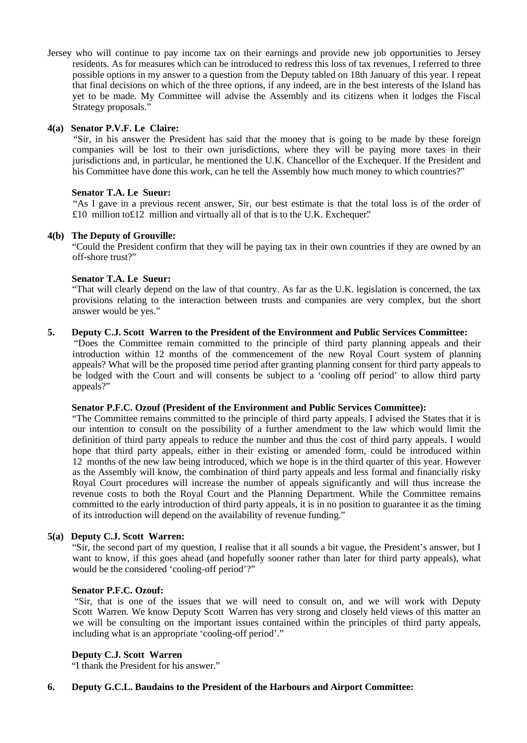Jersey who will continue to pay income tax on their earnings and provide new job opportunities to Jersey residents. As for measures which can be introduced to redress this loss of tax revenues, I referred to three possible options in my answer to a question from the Deputy tabled on 18th January of this year. I repeat that final decisions on which of the three options, if any indeed, are in the best interests of the Island has yet to be made. My Committee will advise the Assembly and its citizens when it lodges the Fiscal Strategy proposals."

# **4(a) Senator P.V.F. Le Claire:**

 "Sir, in his answer the President has said that the money that is going to be made by these foreign companies will be lost to their own jurisdictions, where they will be paying more taxes in their jurisdictions and, in particular, he mentioned the U.K. Chancellor of the Exchequer. If the President and his Committee have done this work, can he tell the Assembly how much money to which countries?"

# **Senator T.A. Le Sueur:**

 "As I gave in a previous recent answer, Sir, our best estimate is that the total loss is of the order of £10 million to£12 million and virtually all of that is to the U.K. Exchequer."

# **4(b) The Deputy of Grouville:**

 "Could the President confirm that they will be paying tax in their own countries if they are owned by an off-shore trust?"

#### **Senator T.A. Le Sueur:**

 "That will clearly depend on the law of that country. As far as the U.K. legislation is concerned, the tax provisions relating to the interaction between trusts and companies are very complex, but the short answer would be yes."

# **5. Deputy C.J. Scott Warren to the President of the Environment and Public Services Committee:**

 "Does the Committee remain committed to the principle of third party planning appeals and their introduction within 12 months of the commencement of the new Royal Court system of planning appeals? What will be the proposed time period after granting planning consent for third party appeals to be lodged with the Court and will consents be subject to a 'cooling off period' to allow third party appeals?"

#### **Senator P.F.C. Ozouf (President of the Environment and Public Services Committee):**

 "The Committee remains committed to the principle of third party appeals. I advised the States that it is our intention to consult on the possibility of a further amendment to the law which would limit the definition of third party appeals to reduce the number and thus the cost of third party appeals. I would hope that third party appeals, either in their existing or amended form, could be introduced within 12 months of the new law being introduced, which we hope is in the third quarter of this year. However, as the Assembly will know, the combination of third party appeals and less formal and financially risky Royal Court procedures will increase the number of appeals significantly and will thus increase the revenue costs to both the Royal Court and the Planning Department. While the Committee remains committed to the early introduction of third party appeals, it is in no position to guarantee it as the timing of its introduction will depend on the availability of revenue funding."

# **5(a) Deputy C.J. Scott Warren:**

 "Sir, the second part of my question, I realise that it all sounds a bit vague, the President's answer, but I want to know, if this goes ahead (and hopefully sooner rather than later for third party appeals), what would be the considered 'cooling-off period'?"

#### **Senator P.F.C. Ozouf:**

 "Sir, that is one of the issues that we will need to consult on, and we will work with Deputy Scott Warren. We know Deputy Scott Warren has very strong and closely held views of this matter an we will be consulting on the important issues contained within the principles of third party appeals, including what is an appropriate 'cooling-off period'."

# **Deputy C.J. Scott Warren**

"I thank the President for his answer."

# **6. Deputy G.C.L. Baudains to the President of the Harbours and Airport Committee:**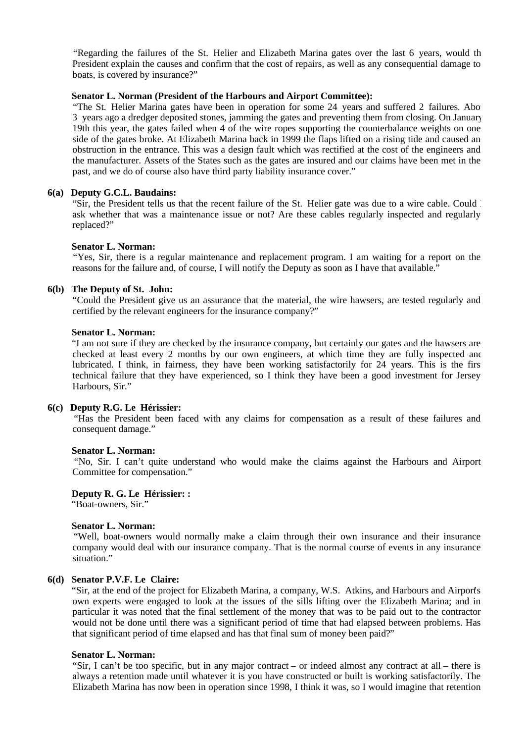"Regarding the failures of the St. Helier and Elizabeth Marina gates over the last 6 years, would th President explain the causes and confirm that the cost of repairs, as well as any consequential damage to boats, is covered by insurance?"

#### **Senator L. Norman (President of the Harbours and Airport Committee):**

"The St. Helier Marina gates have been in operation for some 24 years and suffered 2 failures. Abo 3 years ago a dredger deposited stones, jamming the gates and preventing them from closing. On January 19th this year, the gates failed when 4 of the wire ropes supporting the counterbalance weights on one side of the gates broke. At Elizabeth Marina back in 1999 the flaps lifted on a rising tide and caused an obstruction in the entrance. This was a design fault which was rectified at the cost of the engineers and the manufacturer. Assets of the States such as the gates are insured and our claims have been met in the past, and we do of course also have third party liability insurance cover."

# **6(a) Deputy G.C.L. Baudains:**

 "Sir, the President tells us that the recent failure of the St. Helier gate was due to a wire cable. Could I ask whether that was a maintenance issue or not? Are these cables regularly inspected and regularly replaced?"

#### **Senator L. Norman:**

 "Yes, Sir, there is a regular maintenance and replacement program. I am waiting for a report on the reasons for the failure and, of course, I will notify the Deputy as soon as I have that available."

#### **6(b) The Deputy of St. John:**

 "Could the President give us an assurance that the material, the wire hawsers, are tested regularly and certified by the relevant engineers for the insurance company?"

#### **Senator L. Norman:**

 "I am not sure if they are checked by the insurance company, but certainly our gates and the hawsers are checked at least every 2 months by our own engineers, at which time they are fully inspected and lubricated. I think, in fairness, they have been working satisfactorily for 24 years. This is the firs technical failure that they have experienced, so I think they have been a good investment for Jersey Harbours, Sir."

#### **6(c) Deputy R.G. Le Hérissier:**

 "Has the President been faced with any claims for compensation as a result of these failures and consequent damage."

#### **Senator L. Norman:**

 "No, Sir. I can't quite understand who would make the claims against the Harbours and Airport Committee for compensation."

# **Deputy R. G. Le Hérissier: :**

"Boat-owners, Sir."

#### **Senator L. Norman:**

 "Well, boat-owners would normally make a claim through their own insurance and their insurance company would deal with our insurance company. That is the normal course of events in any insurance situation."

#### **6(d) Senator P.V.F. Le Claire:**

"Sir, at the end of the project for Elizabeth Marina, a company, W.S. Atkins, and Harbours and Airports own experts were engaged to look at the issues of the sills lifting over the Elizabeth Marina; and in particular it was noted that the final settlement of the money that was to be paid out to the contractor would not be done until there was a significant period of time that had elapsed between problems. Has that significant period of time elapsed and has that final sum of money been paid?"

#### **Senator L. Norman:**

 "Sir, I can't be too specific, but in any major contract – or indeed almost any contract at all – there is always a retention made until whatever it is you have constructed or built is working satisfactorily. The Elizabeth Marina has now been in operation since 1998, I think it was, so I would imagine that retention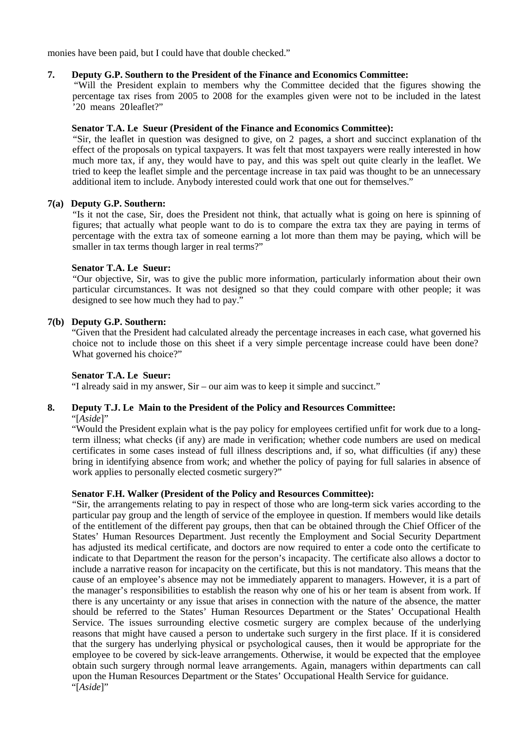monies have been paid, but I could have that double checked."

# **7. Deputy G.P. Southern to the President of the Finance and Economics Committee:**

 "Will the President explain to members why the Committee decided that the figures showing the percentage tax rises from 2005 to 2008 for the examples given were not to be included in the latest '20 means 201eaflet?"

# **Senator T.A. Le Sueur (President of the Finance and Economics Committee):**

 "Sir, the leaflet in question was designed to give, on 2 pages, a short and succinct explanation of the effect of the proposals on typical taxpayers. It was felt that most taxpayers were really interested in how much more tax, if any, they would have to pay, and this was spelt out quite clearly in the leaflet. We tried to keep the leaflet simple and the percentage increase in tax paid was thought to be an unnecessary additional item to include. Anybody interested could work that one out for themselves."

# **7(a) Deputy G.P. Southern:**

 "Is it not the case, Sir, does the President not think, that actually what is going on here is spinning of figures; that actually what people want to do is to compare the extra tax they are paying in terms of percentage with the extra tax of someone earning a lot more than them may be paying, which will be smaller in tax terms though larger in real terms?"

# **Senator T.A. Le Sueur:**

"Our objective, Sir, was to give the public more information, particularly information about their own particular circumstances. It was not designed so that they could compare with other people; it was designed to see how much they had to pay."

# **7(b) Deputy G.P. Southern:**

 "Given that the President had calculated already the percentage increases in each case, what governed his choice not to include those on this sheet if a very simple percentage increase could have been done? What governed his choice?"

# **Senator T.A. Le Sueur:**

"I already said in my answer, Sir – our aim was to keep it simple and succinct."

# **8. Deputy T.J. Le Main to the President of the Policy and Resources Committee:**

"[*Aside*]"

 "Would the President explain what is the pay policy for employees certified unfit for work due to a longterm illness; what checks (if any) are made in verification; whether code numbers are used on medical certificates in some cases instead of full illness descriptions and, if so, what difficulties (if any) these bring in identifying absence from work; and whether the policy of paying for full salaries in absence of work applies to personally elected cosmetic surgery?"

# **Senator F.H. Walker (President of the Policy and Resources Committee):**

 "Sir, the arrangements relating to pay in respect of those who are long-term sick varies according to the particular pay group and the length of service of the employee in question. If members would like details of the entitlement of the different pay groups, then that can be obtained through the Chief Officer of the States' Human Resources Department. Just recently the Employment and Social Security Department has adjusted its medical certificate, and doctors are now required to enter a code onto the certificate to indicate to that Department the reason for the person's incapacity. The certificate also allows a doctor to include a narrative reason for incapacity on the certificate, but this is not mandatory. This means that the cause of an employee's absence may not be immediately apparent to managers. However, it is a part of the manager's responsibilities to establish the reason why one of his or her team is absent from work. If there is any uncertainty or any issue that arises in connection with the nature of the absence, the matter should be referred to the States' Human Resources Department or the States' Occupational Health Service. The issues surrounding elective cosmetic surgery are complex because of the underlying reasons that might have caused a person to undertake such surgery in the first place. If it is considered that the surgery has underlying physical or psychological causes, then it would be appropriate for the employee to be covered by sick-leave arrangements. Otherwise, it would be expected that the employee obtain such surgery through normal leave arrangements. Again, managers within departments can call upon the Human Resources Department or the States' Occupational Health Service for guidance. "[*Aside*]"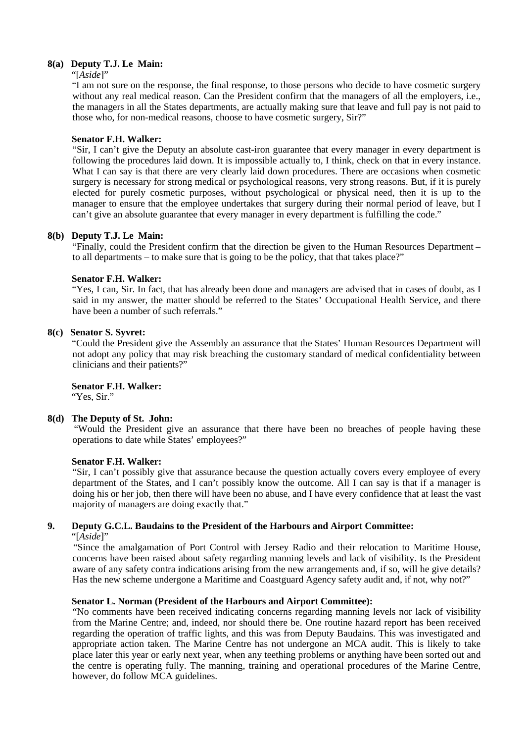# **8(a) Deputy T.J. Le Main:**

#### "[*Aside*]"

 "I am not sure on the response, the final response, to those persons who decide to have cosmetic surgery without any real medical reason. Can the President confirm that the managers of all the employers, i.e., the managers in all the States departments, are actually making sure that leave and full pay is not paid to those who, for non-medical reasons, choose to have cosmetic surgery, Sir?"

#### **Senator F.H. Walker:**

 "Sir, I can't give the Deputy an absolute cast-iron guarantee that every manager in every department is following the procedures laid down. It is impossible actually to, I think, check on that in every instance. What I can say is that there are very clearly laid down procedures. There are occasions when cosmetic surgery is necessary for strong medical or psychological reasons, very strong reasons. But, if it is purely elected for purely cosmetic purposes, without psychological or physical need, then it is up to the manager to ensure that the employee undertakes that surgery during their normal period of leave, but I can't give an absolute guarantee that every manager in every department is fulfilling the code."

#### **8(b) Deputy T.J. Le Main:**

 "Finally, could the President confirm that the direction be given to the Human Resources Department – to all departments – to make sure that is going to be the policy, that that takes place?"

#### **Senator F.H. Walker:**

 "Yes, I can, Sir. In fact, that has already been done and managers are advised that in cases of doubt, as I said in my answer, the matter should be referred to the States' Occupational Health Service, and there have been a number of such referrals."

# **8(c) Senator S. Syvret:**

 "Could the President give the Assembly an assurance that the States' Human Resources Department will not adopt any policy that may risk breaching the customary standard of medical confidentiality between clinicians and their patients?"

 **Senator F.H. Walker:**

"Yes, Sir."

# **8(d) The Deputy of St. John:**

 "Would the President give an assurance that there have been no breaches of people having these operations to date while States' employees?"

#### **Senator F.H. Walker:**

 "Sir, I can't possibly give that assurance because the question actually covers every employee of every department of the States, and I can't possibly know the outcome. All I can say is that if a manager is doing his or her job, then there will have been no abuse, and I have every confidence that at least the vast majority of managers are doing exactly that."

# **9. Deputy G.C.L. Baudains to the President of the Harbours and Airport Committee:**

"[*Aside*]"

 "Since the amalgamation of Port Control with Jersey Radio and their relocation to Maritime House, concerns have been raised about safety regarding manning levels and lack of visibility. Is the President aware of any safety contra indications arising from the new arrangements and, if so, will he give details? Has the new scheme undergone a Maritime and Coastguard Agency safety audit and, if not, why not?"

# **Senator L. Norman (President of the Harbours and Airport Committee):**

 "No comments have been received indicating concerns regarding manning levels nor lack of visibility from the Marine Centre; and, indeed, nor should there be. One routine hazard report has been received regarding the operation of traffic lights, and this was from Deputy Baudains. This was investigated and appropriate action taken. The Marine Centre has not undergone an MCA audit. This is likely to take place later this year or early next year, when any teething problems or anything have been sorted out and the centre is operating fully. The manning, training and operational procedures of the Marine Centre, however, do follow MCA guidelines.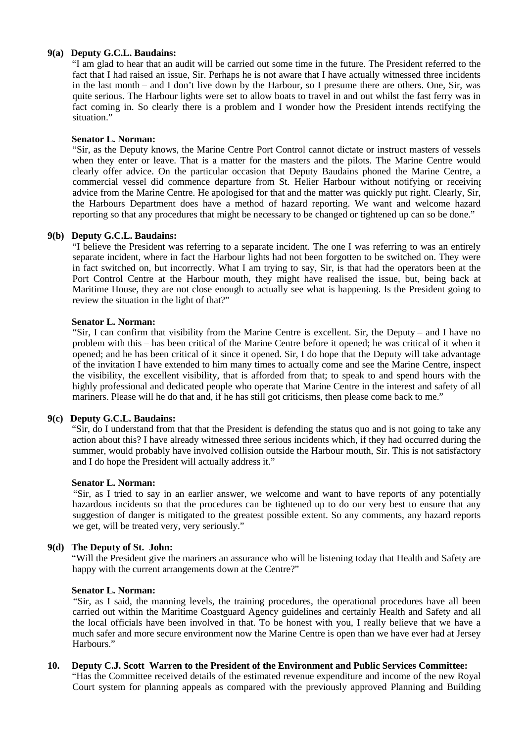# **9(a) Deputy G.C.L. Baudains:**

 "I am glad to hear that an audit will be carried out some time in the future. The President referred to the fact that I had raised an issue, Sir. Perhaps he is not aware that I have actually witnessed three incidents in the last month – and I don't live down by the Harbour, so I presume there are others. One, Sir, was quite serious. The Harbour lights were set to allow boats to travel in and out whilst the fast ferry was in fact coming in. So clearly there is a problem and I wonder how the President intends rectifying the situation."

#### **Senator L. Norman:**

 "Sir, as the Deputy knows, the Marine Centre Port Control cannot dictate or instruct masters of vessels when they enter or leave. That is a matter for the masters and the pilots. The Marine Centre would clearly offer advice. On the particular occasion that Deputy Baudains phoned the Marine Centre, a commercial vessel did commence departure from St. Helier Harbour without notifying or receiving advice from the Marine Centre. He apologised for that and the matter was quickly put right. Clearly, Sir, the Harbours Department does have a method of hazard reporting. We want and welcome hazard reporting so that any procedures that might be necessary to be changed or tightened up can so be done."

#### **9(b) Deputy G.C.L. Baudains:**

 "I believe the President was referring to a separate incident. The one I was referring to was an entirely separate incident, where in fact the Harbour lights had not been forgotten to be switched on. They were in fact switched on, but incorrectly. What I am trying to say, Sir, is that had the operators been at the Port Control Centre at the Harbour mouth, they might have realised the issue, but, being back at Maritime House, they are not close enough to actually see what is happening. Is the President going to review the situation in the light of that?"

#### **Senator L. Norman:**

 "Sir, I can confirm that visibility from the Marine Centre is excellent. Sir, the Deputy – and I have no problem with this – has been critical of the Marine Centre before it opened; he was critical of it when it opened; and he has been critical of it since it opened. Sir, I do hope that the Deputy will take advantage of the invitation I have extended to him many times to actually come and see the Marine Centre, inspect the visibility, the excellent visibility, that is afforded from that; to speak to and spend hours with the highly professional and dedicated people who operate that Marine Centre in the interest and safety of all mariners. Please will he do that and, if he has still got criticisms, then please come back to me."

#### **9(c) Deputy G.C.L. Baudains:**

 "Sir, do I understand from that that the President is defending the status quo and is not going to take any action about this? I have already witnessed three serious incidents which, if they had occurred during the summer, would probably have involved collision outside the Harbour mouth, Sir. This is not satisfactory and I do hope the President will actually address it."

#### **Senator L. Norman:**

 "Sir, as I tried to say in an earlier answer, we welcome and want to have reports of any potentially hazardous incidents so that the procedures can be tightened up to do our very best to ensure that any suggestion of danger is mitigated to the greatest possible extent. So any comments, any hazard reports we get, will be treated very, very seriously."

#### **9(d) The Deputy of St. John:**

 "Will the President give the mariners an assurance who will be listening today that Health and Safety are happy with the current arrangements down at the Centre?"

#### **Senator L. Norman:**

 "Sir, as I said, the manning levels, the training procedures, the operational procedures have all been carried out within the Maritime Coastguard Agency guidelines and certainly Health and Safety and all the local officials have been involved in that. To be honest with you, I really believe that we have a much safer and more secure environment now the Marine Centre is open than we have ever had at Jersey Harbours."

#### **10. Deputy C.J. Scott Warren to the President of the Environment and Public Services Committee:**

 "Has the Committee received details of the estimated revenue expenditure and income of the new Royal Court system for planning appeals as compared with the previously approved Planning and Building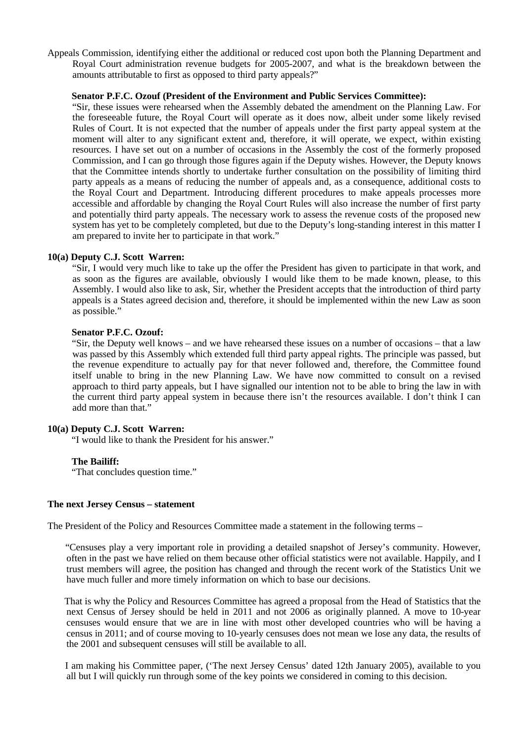Appeals Commission, identifying either the additional or reduced cost upon both the Planning Department and Royal Court administration revenue budgets for 2005-2007, and what is the breakdown between the amounts attributable to first as opposed to third party appeals?"

#### **Senator P.F.C. Ozouf (President of the Environment and Public Services Committee):**

 "Sir, these issues were rehearsed when the Assembly debated the amendment on the Planning Law. For the foreseeable future, the Royal Court will operate as it does now, albeit under some likely revised Rules of Court. It is not expected that the number of appeals under the first party appeal system at the moment will alter to any significant extent and, therefore, it will operate, we expect, within existing resources. I have set out on a number of occasions in the Assembly the cost of the formerly proposed Commission, and I can go through those figures again if the Deputy wishes. However, the Deputy knows that the Committee intends shortly to undertake further consultation on the possibility of limiting third party appeals as a means of reducing the number of appeals and, as a consequence, additional costs to the Royal Court and Department. Introducing different procedures to make appeals processes more accessible and affordable by changing the Royal Court Rules will also increase the number of first party and potentially third party appeals. The necessary work to assess the revenue costs of the proposed new system has yet to be completely completed, but due to the Deputy's long-standing interest in this matter I am prepared to invite her to participate in that work."

# **10(a) Deputy C.J. Scott Warren:**

 "Sir, I would very much like to take up the offer the President has given to participate in that work, and as soon as the figures are available, obviously I would like them to be made known, please, to this Assembly. I would also like to ask, Sir, whether the President accepts that the introduction of third party appeals is a States agreed decision and, therefore, it should be implemented within the new Law as soon as possible."

#### **Senator P.F.C. Ozouf:**

 "Sir, the Deputy well knows – and we have rehearsed these issues on a number of occasions – that a law was passed by this Assembly which extended full third party appeal rights. The principle was passed, but the revenue expenditure to actually pay for that never followed and, therefore, the Committee found itself unable to bring in the new Planning Law. We have now committed to consult on a revised approach to third party appeals, but I have signalled our intention not to be able to bring the law in with the current third party appeal system in because there isn't the resources available. I don't think I can add more than that."

# **10(a) Deputy C.J. Scott Warren:**

"I would like to thank the President for his answer."

#### **The Bailiff:**

"That concludes question time."

#### **The next Jersey Census – statement**

The President of the Policy and Resources Committee made a statement in the following terms –

 "Censuses play a very important role in providing a detailed snapshot of Jersey's community. However, often in the past we have relied on them because other official statistics were not available. Happily, and I trust members will agree, the position has changed and through the recent work of the Statistics Unit we have much fuller and more timely information on which to base our decisions.

 That is why the Policy and Resources Committee has agreed a proposal from the Head of Statistics that the next Census of Jersey should be held in 2011 and not 2006 as originally planned. A move to 10-year censuses would ensure that we are in line with most other developed countries who will be having a census in 2011; and of course moving to 10-yearly censuses does not mean we lose any data, the results of the 2001 and subsequent censuses will still be available to all.

 I am making his Committee paper, ('The next Jersey Census' dated 12th January 2005), available to you all but I will quickly run through some of the key points we considered in coming to this decision.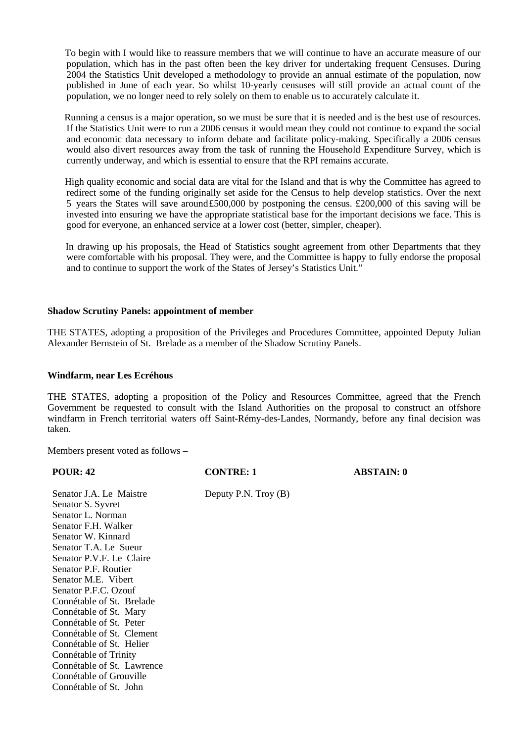To begin with I would like to reassure members that we will continue to have an accurate measure of our population, which has in the past often been the key driver for undertaking frequent Censuses. During 2004 the Statistics Unit developed a methodology to provide an annual estimate of the population, now published in June of each year. So whilst 10-yearly censuses will still provide an actual count of the population, we no longer need to rely solely on them to enable us to accurately calculate it.

 Running a census is a major operation, so we must be sure that it is needed and is the best use of resources. If the Statistics Unit were to run a 2006 census it would mean they could not continue to expand the social and economic data necessary to inform debate and facilitate policy-making. Specifically a 2006 census would also divert resources away from the task of running the Household Expenditure Survey, which is currently underway, and which is essential to ensure that the RPI remains accurate.

 High quality economic and social data are vital for the Island and that is why the Committee has agreed to redirect some of the funding originally set aside for the Census to help develop statistics. Over the next 5 years the States will save around£500,000 by postponing the census. £200,000 of this saving will be invested into ensuring we have the appropriate statistical base for the important decisions we face. This is good for everyone, an enhanced service at a lower cost (better, simpler, cheaper).

 In drawing up his proposals, the Head of Statistics sought agreement from other Departments that they were comfortable with his proposal. They were, and the Committee is happy to fully endorse the proposal and to continue to support the work of the States of Jersey's Statistics Unit."

#### **Shadow Scrutiny Panels: appointment of member**

THE STATES, adopting a proposition of the Privileges and Procedures Committee, appointed Deputy Julian Alexander Bernstein of St. Brelade as a member of the Shadow Scrutiny Panels.

#### **Windfarm, near Les Ecréhous**

THE STATES, adopting a proposition of the Policy and Resources Committee, agreed that the French Government be requested to consult with the Island Authorities on the proposal to construct an offshore windfarm in French territorial waters off Saint-Rémy-des-Landes, Normandy, before any final decision was taken.

Members present voted as follows –

| <b>POUR: 42</b>            | <b>CONTRE: 1</b>       | <b>ABSTAIN: 0</b> |
|----------------------------|------------------------|-------------------|
| Senator J.A. Le Maistre    | Deputy P.N. Troy $(B)$ |                   |
| Senator S. Syvret          |                        |                   |
| Senator L. Norman          |                        |                   |
| Senator F.H. Walker        |                        |                   |
| Senator W. Kinnard         |                        |                   |
| Senator T.A. Le Sueur      |                        |                   |
| Senator P.V.F. Le Claire   |                        |                   |
| Senator P.F. Routier       |                        |                   |
| Senator M.E. Vibert        |                        |                   |
| Senator P.F.C. Ozouf       |                        |                   |
| Connétable of St. Brelade  |                        |                   |
| Connétable of St. Mary     |                        |                   |
| Connétable of St. Peter    |                        |                   |
| Connétable of St. Clement  |                        |                   |
| Connétable of St. Helier   |                        |                   |
| Connétable of Trinity      |                        |                   |
| Connétable of St. Lawrence |                        |                   |
| Connétable of Grouville    |                        |                   |
| Connétable of St. John     |                        |                   |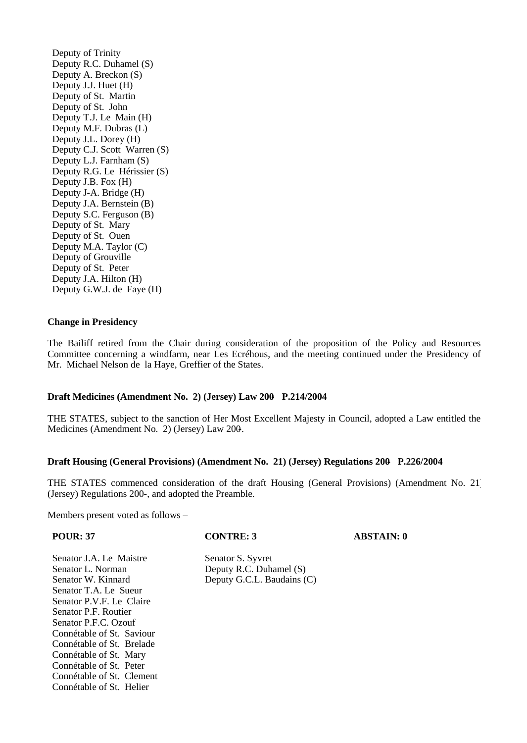Deputy of Trinity Deputy R.C. Duhamel (S) Deputy A. Breckon (S) Deputy J.J. Huet (H) Deputy of St. Martin Deputy of St. John Deputy T.J. Le Main (H) Deputy M.F. Dubras (L) Deputy J.L. Dorey (H) Deputy C.J. Scott Warren (S) Deputy L.J. Farnham (S) Deputy R.G. Le Hérissier (S) Deputy J.B. Fox (H) Deputy J-A. Bridge (H) Deputy J.A. Bernstein (B) Deputy S.C. Ferguson (B) Deputy of St. Mary Deputy of St. Ouen Deputy M.A. Taylor (C) Deputy of Grouville Deputy of St. Peter Deputy J.A. Hilton (H) Deputy G.W.J. de Faye (H)

#### **Change in Presidency**

The Bailiff retired from the Chair during consideration of the proposition of the Policy and Resources Committee concerning a windfarm, near Les Ecréhous, and the meeting continued under the Presidency of Mr. Michael Nelson de la Haye, Greffier of the States.

#### **Draft Medicines (Amendment No. 2) (Jersey) Law 200- P.214/2004**

THE STATES, subject to the sanction of Her Most Excellent Majesty in Council, adopted a Law entitled the Medicines (Amendment No. 2) (Jersey) Law 200-.

# **Draft Housing (General Provisions) (Amendment No. 21) (Jersey) Regulations 200- P.226/2004**

THE STATES commenced consideration of the draft Housing (General Provisions) (Amendment No. 21) (Jersey) Regulations 200-, and adopted the Preamble.

Members present voted as follows –

Connétable of St. Clement Connétable of St. Helier

| <b>POUR: 37</b>           | <b>CONTRE: 3</b>           | <b>ABSTAIN: 0</b> |
|---------------------------|----------------------------|-------------------|
| Senator J.A. Le Maistre   | Senator S. Syvret          |                   |
| Senator L. Norman         | Deputy R.C. Duhamel (S)    |                   |
| Senator W. Kinnard        | Deputy G.C.L. Baudains (C) |                   |
| Senator T.A. Le Sueur     |                            |                   |
| Senator P.V.F. Le Claire  |                            |                   |
| Senator P.F. Routier      |                            |                   |
| Senator P.F.C. Ozouf      |                            |                   |
| Connétable of St. Saviour |                            |                   |
| Connétable of St. Brelade |                            |                   |
| Connétable of St. Mary    |                            |                   |
| Connétable of St. Peter   |                            |                   |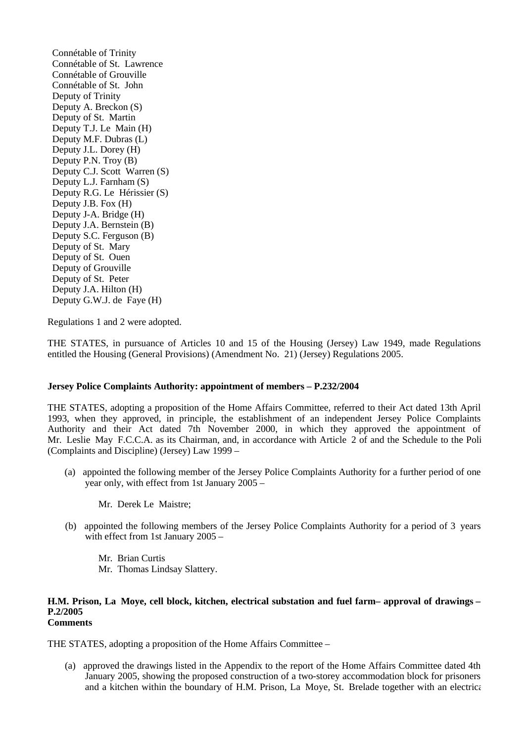Connétable of Trinity Connétable of St. Lawrence Connétable of Grouville Connétable of St. John Deputy of Trinity Deputy A. Breckon (S) Deputy of St. Martin Deputy T.J. Le Main (H) Deputy M.F. Dubras (L) Deputy J.L. Dorey (H) Deputy P.N. Troy (B) Deputy C.J. Scott Warren (S) Deputy L.J. Farnham (S) Deputy R.G. Le Hérissier (S) Deputy J.B. Fox (H) Deputy J-A. Bridge (H) Deputy J.A. Bernstein (B) Deputy S.C. Ferguson (B) Deputy of St. Mary Deputy of St. Ouen Deputy of Grouville Deputy of St. Peter Deputy J.A. Hilton (H) Deputy G.W.J. de Faye (H)

Regulations 1 and 2 were adopted.

THE STATES, in pursuance of Articles 10 and 15 of the Housing (Jersey) Law 1949, made Regulations entitled the Housing (General Provisions) (Amendment No. 21) (Jersey) Regulations 2005.

# **Jersey Police Complaints Authority: appointment of members – P.232/2004**

THE STATES, adopting a proposition of the Home Affairs Committee, referred to their Act dated 13th April 1993, when they approved, in principle, the establishment of an independent Jersey Police Complaints Authority and their Act dated 7th November 2000, in which they approved the appointment of Mr. Leslie May F.C.C.A. as its Chairman, and, in accordance with Article 2 of and the Schedule to the Poli (Complaints and Discipline) (Jersey) Law 1999 –

- (a) appointed the following member of the Jersey Police Complaints Authority for a further period of one year only, with effect from 1st January 2005 –
	- Mr. Derek Le Maistre;
- (b) appointed the following members of the Jersey Police Complaints Authority for a period of 3 years, with effect from 1st January 2005 –

 Mr. Brian Curtis Mr. Thomas Lindsay Slattery.

#### **H.M. Prison, La Moye, cell block, kitchen, electrical substation and fuel farm – approval of drawings – P.2/2005 Comments**

THE STATES, adopting a proposition of the Home Affairs Committee –

 (a) approved the drawings listed in the Appendix to the report of the Home Affairs Committee dated 4th January 2005, showing the proposed construction of a two-storey accommodation block for prisoners and a kitchen within the boundary of H.M. Prison, La Moye, St. Brelade together with an electrical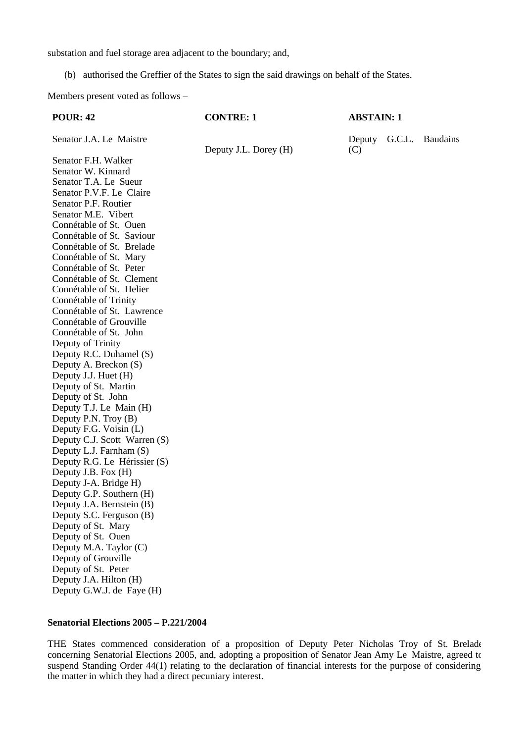substation and fuel storage area adjacent to the boundary; and,

(b) authorised the Greffier of the States to sign the said drawings on behalf of the States.

Members present voted as follows –

| <b>POUR: 42</b>              | <b>CONTRE: 1</b>      | <b>ABSTAIN: 1</b> |                 |
|------------------------------|-----------------------|-------------------|-----------------|
| Senator J.A. Le Maistre      | Deputy J.L. Dorey (H) | Deputy<br>(C)     | G.C.L. Baudains |
| Senator F.H. Walker          |                       |                   |                 |
| Senator W. Kinnard           |                       |                   |                 |
| Senator T.A. Le Sueur        |                       |                   |                 |
| Senator P.V.F. Le Claire     |                       |                   |                 |
| Senator P.F. Routier         |                       |                   |                 |
| Senator M.E. Vibert          |                       |                   |                 |
| Connétable of St. Ouen       |                       |                   |                 |
| Connétable of St. Saviour    |                       |                   |                 |
| Connétable of St. Brelade    |                       |                   |                 |
| Connétable of St. Mary       |                       |                   |                 |
| Connétable of St. Peter      |                       |                   |                 |
| Connétable of St. Clement    |                       |                   |                 |
| Connétable of St. Helier     |                       |                   |                 |
| Connétable of Trinity        |                       |                   |                 |
| Connétable of St. Lawrence   |                       |                   |                 |
| Connétable of Grouville      |                       |                   |                 |
| Connétable of St. John       |                       |                   |                 |
| Deputy of Trinity            |                       |                   |                 |
| Deputy R.C. Duhamel (S)      |                       |                   |                 |
| Deputy A. Breckon (S)        |                       |                   |                 |
| Deputy J.J. Huet (H)         |                       |                   |                 |
| Deputy of St. Martin         |                       |                   |                 |
| Deputy of St. John           |                       |                   |                 |
| Deputy T.J. Le Main (H)      |                       |                   |                 |
| Deputy P.N. Troy (B)         |                       |                   |                 |
| Deputy F.G. Voisin (L)       |                       |                   |                 |
| Deputy C.J. Scott Warren (S) |                       |                   |                 |
| Deputy L.J. Farnham (S)      |                       |                   |                 |

# **Senatorial Elections 2005 – P.221/2004**

Deputy R.G. Le Hérissier (S)

Deputy J.B. Fox (H) Deputy J-A. Bridge H) Deputy G.P. Southern (H) Deputy J.A. Bernstein (B) Deputy S.C. Ferguson (B) Deputy of St. Mary Deputy of St. Ouen Deputy M.A. Taylor (C) Deputy of Grouville Deputy of St. Peter Deputy J.A. Hilton (H) Deputy G.W.J. de Faye (H)

THE States commenced consideration of a proposition of Deputy Peter Nicholas Troy of St. Brelade concerning Senatorial Elections 2005, and, adopting a proposition of Senator Jean Amy Le Maistre, agreed to suspend Standing Order 44(1) relating to the declaration of financial interests for the purpose of considering the matter in which they had a direct pecuniary interest.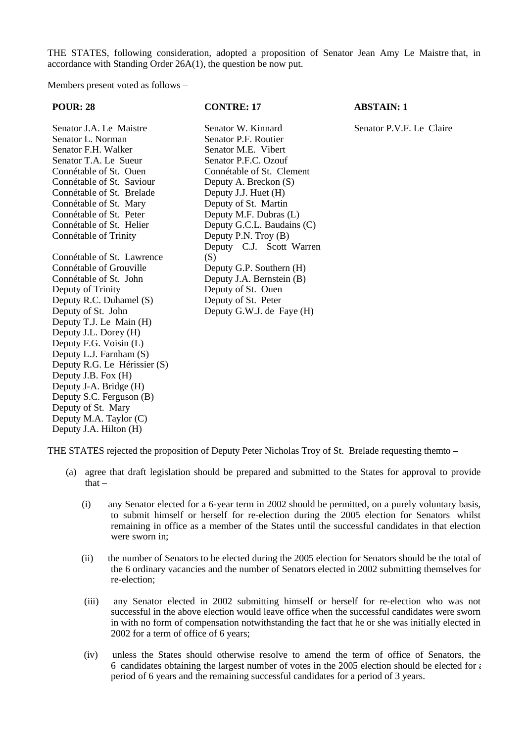THE STATES, following consideration, adopted a proposition of Senator Jean Amy Le Maistre that, in accordance with Standing Order 26A(1), the question be now put.

Members present voted as follows –

| <b>POUR: 28</b>                                                                                                                                                                                                                                                                                                                                                                                                                                       | <b>CONTRE: 17</b>                                                                                                                                                                                                                                                               | <b>ABSTAIN: 1</b>        |
|-------------------------------------------------------------------------------------------------------------------------------------------------------------------------------------------------------------------------------------------------------------------------------------------------------------------------------------------------------------------------------------------------------------------------------------------------------|---------------------------------------------------------------------------------------------------------------------------------------------------------------------------------------------------------------------------------------------------------------------------------|--------------------------|
| Senator J.A. Le Maistre<br>Senator L. Norman<br>Senator F.H. Walker<br>Senator T.A. Le Sueur<br>Connétable of St. Ouen<br>Connétable of St. Saviour<br>Connétable of St. Brelade<br>Connétable of St. Mary<br>Connétable of St. Peter<br>Connétable of St. Helier<br>Connétable of Trinity                                                                                                                                                            | Senator W. Kinnard<br>Senator P.F. Routier<br>Senator M.E. Vibert<br>Senator P.F.C. Ozouf<br>Connétable of St. Clement<br>Deputy A. Breckon (S)<br>Deputy J.J. Huet (H)<br>Deputy of St. Martin<br>Deputy M.F. Dubras (L)<br>Deputy G.C.L. Baudains (C)<br>Deputy P.N. Troy (B) | Senator P.V.F. Le Claire |
| Connétable of St. Lawrence<br>Connétable of Grouville<br>Connétable of St. John<br>Deputy of Trinity<br>Deputy R.C. Duhamel (S)<br>Deputy of St. John<br>Deputy T.J. Le Main (H)<br>Deputy J.L. Dorey (H)<br>Deputy F.G. Voisin (L)<br>Deputy L.J. Farnham (S)<br>Deputy R.G. Le Hérissier (S)<br>Deputy J.B. Fox (H)<br>Deputy J-A. Bridge (H)<br>Deputy S.C. Ferguson (B)<br>Deputy of St. Mary<br>Deputy M.A. Taylor (C)<br>Deputy J.A. Hilton (H) | Deputy C.J. Scott Warren<br>(S)<br>Deputy G.P. Southern (H)<br>Deputy J.A. Bernstein (B)<br>Deputy of St. Ouen<br>Deputy of St. Peter<br>Deputy G.W.J. de Faye (H)                                                                                                              |                          |

THE STATES rejected the proposition of Deputy Peter Nicholas Troy of St. Brelade requesting themto –

- (a) agree that draft legislation should be prepared and submitted to the States for approval to provide that $-$ 
	- (i) any Senator elected for a 6-year term in 2002 should be permitted, on a purely voluntary basis, to submit himself or herself for re-election during the 2005 election for Senators whilst remaining in office as a member of the States until the successful candidates in that election were sworn in;
	- (ii) the number of Senators to be elected during the 2005 election for Senators should be the total of the 6 ordinary vacancies and the number of Senators elected in 2002 submitting themselves for re-election;
	- (iii) any Senator elected in 2002 submitting himself or herself for re-election who was not successful in the above election would leave office when the successful candidates were sworn in with no form of compensation notwithstanding the fact that he or she was initially elected in 2002 for a term of office of 6 years;
	- (iv) unless the States should otherwise resolve to amend the term of office of Senators, the 6 candidates obtaining the largest number of votes in the 2005 election should be elected for  $\epsilon$ period of 6 years and the remaining successful candidates for a period of 3 years.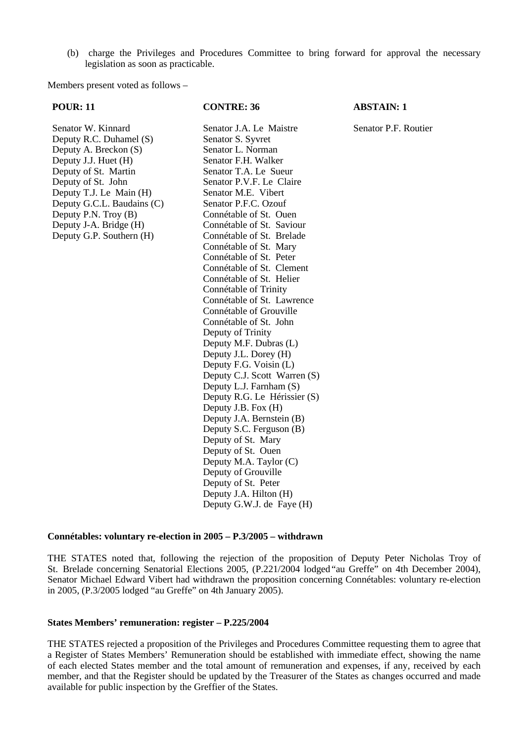(b) charge the Privileges and Procedures Committee to bring forward for approval the necessary legislation as soon as practicable.

Members present voted as follows –

#### **POUR: 11 CONTRE: 36 ABSTAIN: 1**

Senator W. Kinnard Senator J.A. Le Maistre Senator P.F. Routier Deputy R.C. Duhamel (S) Senator S. Syvret Deputy A. Breckon (S) Senator L. Norman<br>Deputy J.J. Huet (H) Senator F.H. Walker Deputy J.J. Huet (H) Senator F.H. Walker<br>Deputy of St. Martin Senator T.A. Le Sueur Deputy of St. Martin<br>Deputy of St. John Deputy T.J. Le Main (H) Senator M.E. Vibert<br>Deputy G.C.L. Baudains (C) Senator P.F.C. Ozouf Deputy G.C.L. Baudains (C) Senator P.F.C. Ozouf<br>Deputy P.N. Troy (B) Connétable of St. Ouen Deputy P.N. Troy  $(B)$ Deputy J-A. Bridge (H) Connétable of St. Saviour Deputy G.P. Southern (H) Connétable of St. Brelade

Senator P.V.F. Le Claire Connétable of St. Mary Connétable of St. Peter Connétable of St. Clement Connétable of St. Helier Connétable of Trinity Connétable of St. Lawrence Connétable of Grouville Connétable of St. John Deputy of Trinity Deputy M.F. Dubras (L) Deputy J.L. Dorey (H) Deputy F.G. Voisin (L) Deputy C.J. Scott Warren (S) Deputy L.J. Farnham (S) Deputy R.G. Le Hérissier (S) Deputy J.B. Fox (H) Deputy J.A. Bernstein (B) Deputy S.C. Ferguson (B) Deputy of St. Mary Deputy of St. Ouen Deputy M.A. Taylor (C) Deputy of Grouville Deputy of St. Peter Deputy J.A. Hilton (H) Deputy G.W.J. de Faye (H)

#### **Connétables: voluntary re-election in 2005 – P.3/2005 – withdrawn**

THE STATES noted that, following the rejection of the proposition of Deputy Peter Nicholas Troy of St. Brelade concerning Senatorial Elections 2005, (P.221/2004 lodged "au Greffe" on 4th December 2004), Senator Michael Edward Vibert had withdrawn the proposition concerning Connétables: voluntary re-election in 2005, (P.3/2005 lodged "au Greffe" on 4th January 2005).

# **States Members' remuneration: register – P.225/2004**

THE STATES rejected a proposition of the Privileges and Procedures Committee requesting them to agree that a Register of States Members' Remuneration should be established with immediate effect, showing the name of each elected States member and the total amount of remuneration and expenses, if any, received by each member, and that the Register should be updated by the Treasurer of the States as changes occurred and made available for public inspection by the Greffier of the States.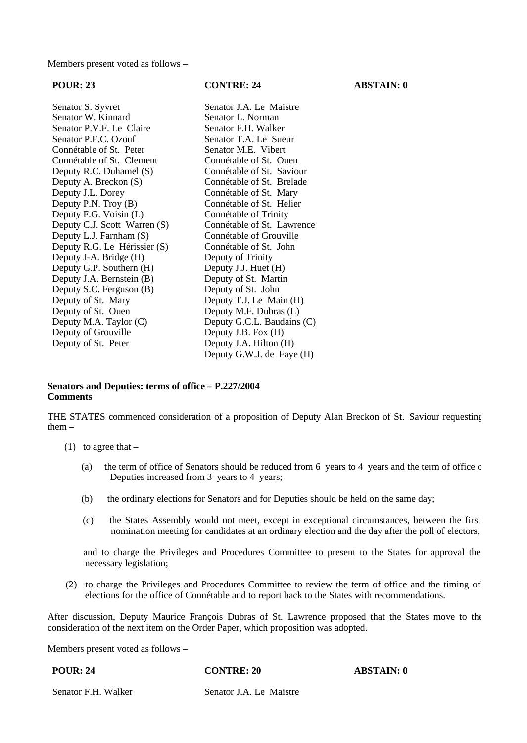Members present voted as follows –

Senator S. Syvret Senator J.A. Le Maistre<br>
Senator W. Kinnard Senator L. Norman Senator W. Kinnard<br>
Senator P.V.F. Le Claire<br>
Senator F.H. Walker Senator P.V.F. Le Claire Senator P.F.C. Ozouf Senator T.A. Le Sueur Connétable of St. Peter<br>
Connétable of St. Clement<br>
Connétable of St. Clement<br>
Connétable of St. Ouen Connétable of St. Clement<br>
Connétable of St. Ouen<br>
Connétable of St. Saviour Deputy R.C. Duhamel (S)<br>Deputy A. Breckon (S) Deputy A. Breckon (S) Connétable of St. Brelade<br>Deputy J.L. Dorey Connétable of St. Mary Deputy J.L. Dorey Connétable of St. Mary<br>
Deputy P.N. Troy (B) Connétable of St. Helier Deputy F.G. Voisin  $(L)$ Deputy C.J. Scott Warren (S) Connétable of St. Lawrence Deputy L.J. Farnham (S) Connétable of Grouville<br>Deputy R.G. Le Hérissier (S) Connétable of St. John Deputy R.G. Le Hérissier (S) Deputy J-A. Bridge (H) Deputy of Trinity<br>Deputy G.P. Southern (H) Deputy J.J. Huet (H) Deputy G.P. Southern (H) Deputy J.J. Huet (H)<br>Deputy J.A. Bernstein (B) Deputy of St. Martin Deputy J.A. Bernstein (B) Deputy of St. Martin Deputy S.C. Ferguson (B) Deputy of St. John Deputy S.C. Ferguson (B)<br>Deputy of St. Mary Deputy of St. Mary Deputy T.J. Le Main (H)<br>Deputy of St. Ouen Deputy M.F. Dubras (L) Deputy M.A. Taylor (C) Deputy G.C.L. Baudains (C)<br>Deputy of Grouville Deputy J.B. Fox (H) Deputy of Grouville Deputy of St. Peter Deputy J.A. Hilton (H)

Connétable of St. Helier<br>Connétable of Trinity Deputy M.F. Dubras (L) Deputy G.W.J. de Faye (H)

# **Senators and Deputies: terms of office – P.227/2004 Comments**

THE STATES commenced consideration of a proposition of Deputy Alan Breckon of St. Saviour requesting them –

- $(1)$  to agree that
	- (a) the term of office of Senators should be reduced from 6 years to 4 years and the term of office  $\epsilon$ Deputies increased from 3 years to 4 years;
	- (b) the ordinary elections for Senators and for Deputies should be held on the same day;
	- (c) the States Assembly would not meet, except in exceptional circumstances, between the first nomination meeting for candidates at an ordinary election and the day after the poll of electors,

 and to charge the Privileges and Procedures Committee to present to the States for approval the necessary legislation;

 (2) to charge the Privileges and Procedures Committee to review the term of office and the timing of elections for the office of Connétable and to report back to the States with recommendations.

After discussion, Deputy Maurice François Dubras of St. Lawrence proposed that the States move to the consideration of the next item on the Order Paper, which proposition was adopted.

Members present voted as follows –

**POUR: 24 CONTRE: 20 ABSTAIN: 0**

Senator F.H. Walker Senator J.A. Le Maistre

**POUR: 23 CONTRE: 24 ABSTAIN: 0**